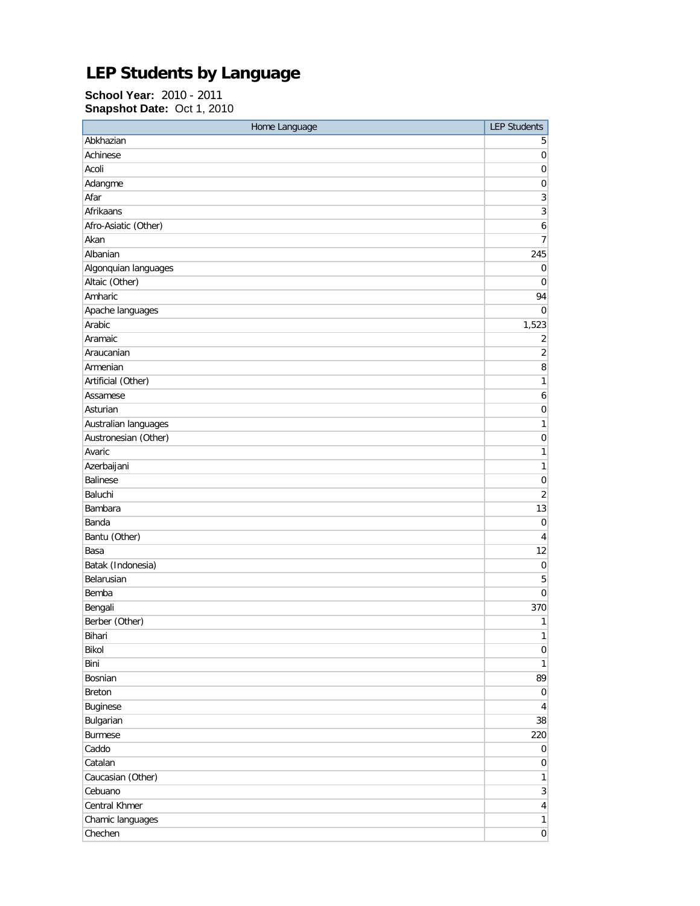## **LEP Students by Language**

**School Year:** 2010 - 2011 **Snapshot Date:** Oct 1, 2010

| Home Language        | <b>LEP Students</b> |
|----------------------|---------------------|
| Abkhazian            | 5                   |
| Achinese             | $\mathbf 0$         |
| Acoli                | $\mathbf 0$         |
| Adangme              | 0                   |
| Afar                 | 3                   |
| Afrikaans            | 3                   |
| Afro-Asiatic (Other) | $\boldsymbol{6}$    |
| Akan                 | 7                   |
| Albanian             | 245                 |
| Algonquian languages | $\pmb{0}$           |
| Altaic (Other)       | $\pmb{0}$           |
| Amharic              | 94                  |
| Apache languages     | 0                   |
| Arabic               | 1,523               |
| Aramaic              | 2                   |
| Araucanian           | $\overline{2}$      |
| Armenian             | 8                   |
| Artificial (Other)   | 1                   |
| Assamese             | 6                   |
| Asturian             | 0                   |
| Australian languages | $\mathbf{1}$        |
| Austronesian (Other) | 0                   |
| Avaric               | 1                   |
| Azerbaijani          | $\mathbf{1}$        |
| <b>Balinese</b>      | $\mathbf 0$         |
| Baluchi              | $\overline{2}$      |
| Bambara              | 13                  |
| Banda                | $\mathbf 0$         |
| Bantu (Other)        | 4                   |
| Basa                 | 12                  |
| Batak (Indonesia)    | 0                   |
| Belarusian           | 5                   |
| Bemba                | 0                   |
| Bengali              | 370                 |
| Berber (Other)       | 1                   |
| Bihari               | 1                   |
| Bikol                | $\vert 0 \vert$     |
| Bini                 | $\mathbf{1}$        |
| Bosnian              | 89                  |
| <b>Breton</b>        | $\overline{0}$      |
| Buginese             | $\overline{4}$      |
| Bulgarian            | 38                  |
| <b>Burmese</b>       | 220                 |
| Caddo                | 0                   |
| Catalan              | $\overline{0}$      |
| Caucasian (Other)    | $\mathbf{1}$        |
| Cebuano              | $\overline{3}$      |
| Central Khmer        | $\overline{4}$      |
| Chamic languages     | $\mathbf{1}$        |
| Chechen              | $\overline{0}$      |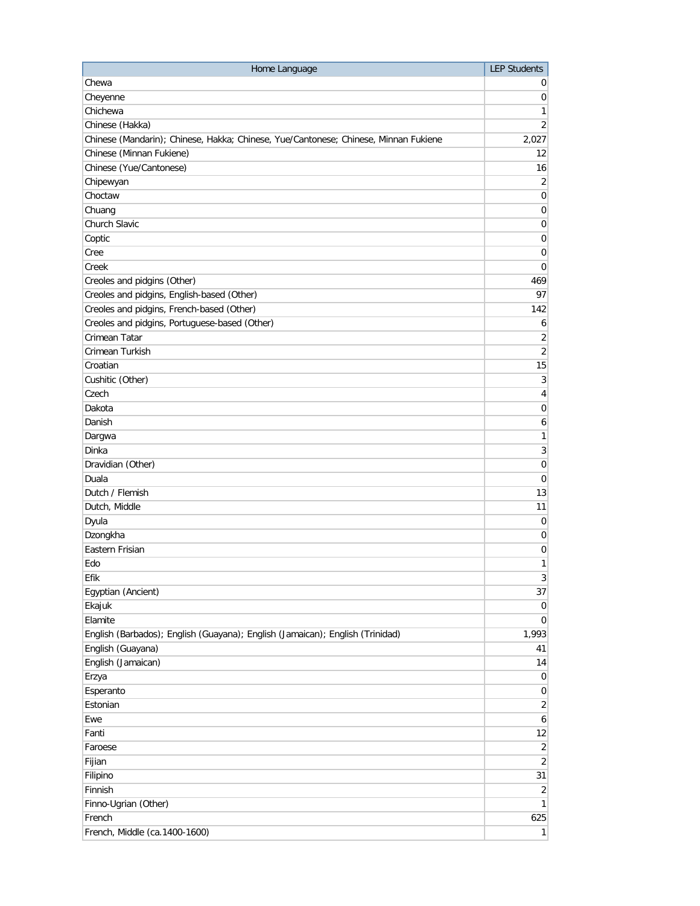| Home Language                                                                       | <b>LEP Students</b>          |
|-------------------------------------------------------------------------------------|------------------------------|
| Chewa                                                                               | $\sigma$                     |
| Cheyenne                                                                            | $\overline{0}$               |
| Chichewa                                                                            | 1                            |
| Chinese (Hakka)                                                                     | 2 <sup>2</sup>               |
| Chinese (Mandarin); Chinese, Hakka; Chinese, Yue/Cantonese; Chinese, Minnan Fukiene | 2,027                        |
| Chinese (Minnan Fukiene)                                                            | 12                           |
| Chinese (Yue/Cantonese)                                                             | 16                           |
| Chipewyan                                                                           | $\overline{2}$               |
| Choctaw                                                                             | $\boldsymbol{0}$             |
| Chuang                                                                              | $\overline{0}$               |
| Church Slavic                                                                       | $\boldsymbol{0}$             |
| Coptic                                                                              | $\boldsymbol{0}$             |
| Cree                                                                                | 0                            |
| Creek                                                                               | $\overline{0}$               |
| Creoles and pidgins (Other)                                                         | 469                          |
| Creoles and pidgins, English-based (Other)                                          | 97                           |
| Creoles and pidgins, French-based (Other)                                           | 142                          |
| Creoles and pidgins, Portuguese-based (Other)                                       | $\mathbf{6}$                 |
| Crimean Tatar                                                                       | $\overline{2}$               |
| Crimean Turkish                                                                     | $\overline{2}$               |
| Croatian                                                                            | 15                           |
| Cushitic (Other)                                                                    | $\mathbf{3}$                 |
| Czech                                                                               | $\overline{4}$               |
| Dakota                                                                              | $\pmb{0}$                    |
| Danish                                                                              | $\boldsymbol{6}$             |
| Dargwa                                                                              | $\mathbf{1}$                 |
| Dinka                                                                               | $\mathbf{3}$                 |
| Dravidian (Other)                                                                   | $\overline{0}$               |
| Duala                                                                               | $\boldsymbol{0}$             |
| Dutch / Flemish                                                                     | 13                           |
| Dutch, Middle                                                                       | 11                           |
| Dyula                                                                               | $\pmb{0}$                    |
| Dzongkha                                                                            | 0                            |
| Eastern Frisian                                                                     | 0                            |
| Edo                                                                                 | 1                            |
|                                                                                     |                              |
| Efik                                                                                | $\left  \frac{3}{2} \right $ |
| Egyptian (Ancient)                                                                  | 37                           |
| Ekajuk                                                                              | $\overline{0}$               |
| Elamite                                                                             | $\overline{0}$               |
| English (Barbados); English (Guayana); English (Jamaican); English (Trinidad)       | 1,993                        |
| English (Guayana)                                                                   | 41                           |
| English (Jamaican)                                                                  | 14                           |
| Erzya                                                                               | $\overline{0}$               |
| Esperanto                                                                           | $\overline{0}$               |
| Estonian                                                                            | $\overline{2}$               |
| Ewe                                                                                 | $6 \mid$                     |
| Fanti                                                                               | 12                           |
| Faroese                                                                             | $\overline{2}$               |
| Fijian                                                                              | $\overline{2}$               |
| Filipino                                                                            | 31                           |
| Finnish                                                                             | $\overline{2}$               |
| Finno-Ugrian (Other)                                                                | 1                            |
| French                                                                              | 625                          |
| French, Middle (ca.1400-1600)                                                       | $\mathbf{1}$                 |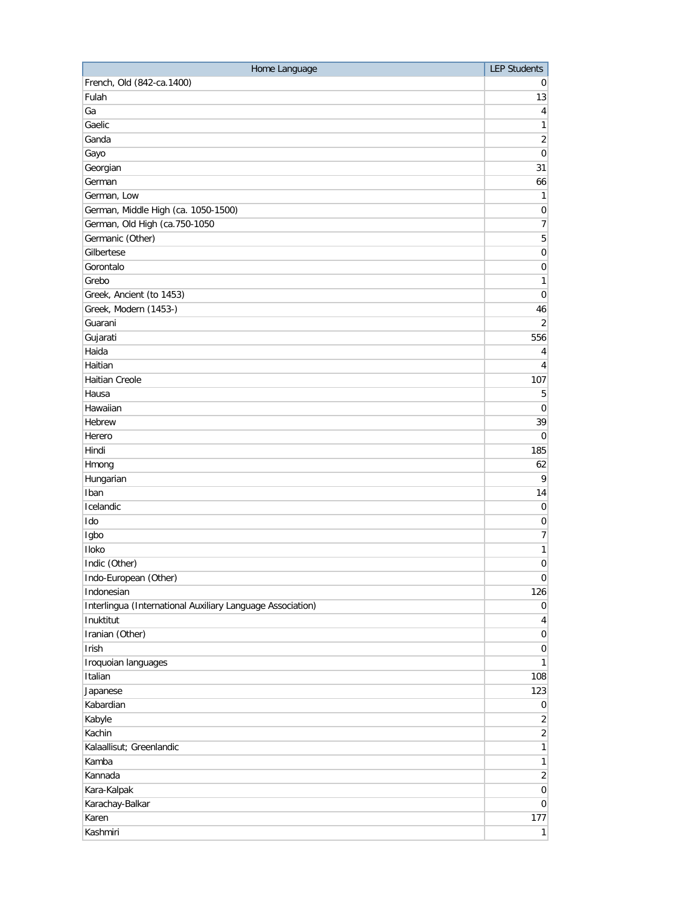| Home Language                                              | <b>LEP Students</b> |
|------------------------------------------------------------|---------------------|
| French, Old (842-ca.1400)                                  | 0                   |
| Fulah                                                      | 13                  |
| Ga                                                         | $\vert 4 \vert$     |
| Gaelic                                                     | 1                   |
| Ganda                                                      | $\overline{2}$      |
| Gayo                                                       | $\pmb{0}$           |
| Georgian                                                   | 31                  |
| German                                                     | 66                  |
| German, Low                                                | $\mathbf{1}$        |
| German, Middle High (ca. 1050-1500)                        | $\pmb{0}$           |
| German, Old High (ca.750-1050                              | 7                   |
| Germanic (Other)                                           | $\sqrt{5}$          |
| Gilbertese                                                 | $\overline{0}$      |
| Gorontalo                                                  | 0                   |
| Grebo                                                      | 1                   |
| Greek, Ancient (to 1453)                                   | $\boldsymbol{0}$    |
| Greek, Modern (1453-)                                      | 46                  |
| Guarani                                                    | $\overline{2}$      |
| Gujarati                                                   | 556                 |
| Haida                                                      | $\vert 4 \vert$     |
| Haitian                                                    | $\overline{4}$      |
| <b>Haitian Creole</b>                                      | 107                 |
| Hausa                                                      | 5                   |
| Hawaiian                                                   | $\overline{0}$      |
| Hebrew                                                     | 39                  |
| Herero                                                     | $\mathbf 0$         |
| Hindi                                                      | 185                 |
| Hmong                                                      | 62                  |
| Hungarian                                                  | 9                   |
| Iban                                                       | 14                  |
| Icelandic                                                  | $\pmb{0}$           |
| Ido                                                        | 0                   |
| Igbo                                                       | 7                   |
| Iloko                                                      | $\mathbf{1}$        |
| Indic (Other)                                              | $\boldsymbol{0}$    |
| Indo-European (Other)                                      | $\overline{0}$      |
| Indonesian                                                 | 126                 |
| Interlingua (International Auxiliary Language Association) | $\overline{0}$      |
| Inuktitut                                                  | $\vert 4 \vert$     |
| Iranian (Other)                                            | $\vert 0 \vert$     |
| Irish                                                      | $\vert 0 \vert$     |
| Iroquoian languages                                        | 1                   |
| Italian                                                    | 108                 |
| Japanese                                                   | 123                 |
| Kabardian                                                  | $\overline{0}$      |
| Kabyle                                                     | $\overline{2}$      |
| Kachin                                                     | $\overline{2}$      |
| Kalaallisut; Greenlandic                                   | $\mathbf{1}$        |
| Kamba                                                      | 1                   |
| Kannada                                                    | $\overline{2}$      |
| Kara-Kalpak                                                | $\overline{0}$      |
| Karachay-Balkar                                            | $\overline{0}$      |
| Karen                                                      | 177                 |
| Kashmiri                                                   | 1                   |
|                                                            |                     |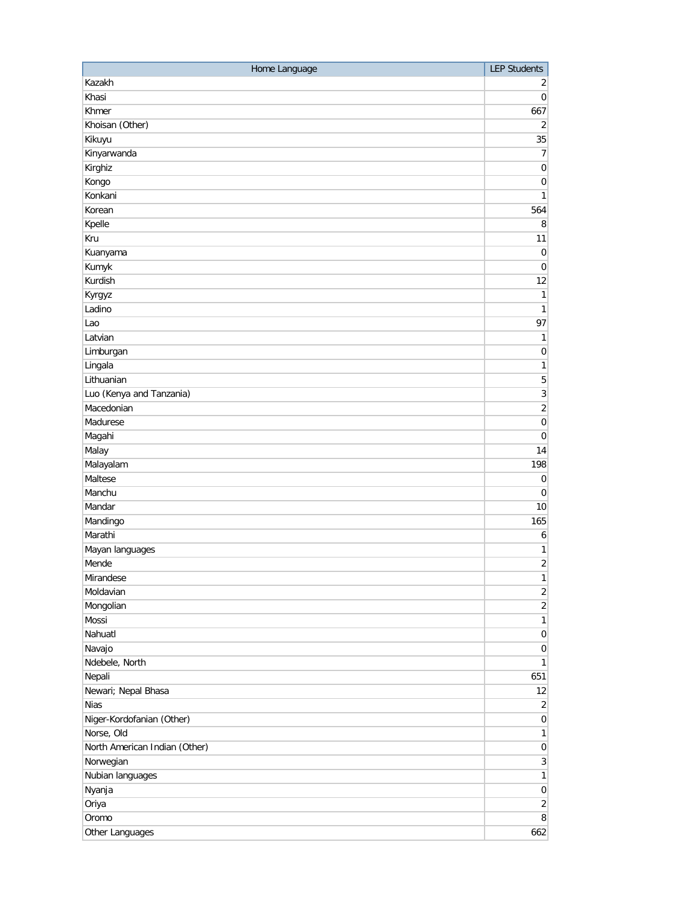| Home Language                 | <b>LEP Students</b> |
|-------------------------------|---------------------|
| Kazakh                        | 2                   |
| Khasi                         | 0                   |
| Khmer                         | 667                 |
| Khoisan (Other)               | $\overline{2}$      |
| Kikuyu                        | 35                  |
| Kinyarwanda                   | 7                   |
| Kirghiz                       | $\mathbf 0$         |
| Kongo                         | $\boldsymbol{0}$    |
| Konkani                       | $\mathbf{1}$        |
| Korean                        | 564                 |
| Kpelle                        | 8                   |
| Kru                           | 11                  |
| Kuanyama                      | $\mathbf 0$         |
| Kumyk                         | $\boldsymbol{0}$    |
| Kurdish                       | 12                  |
| Kyrgyz                        | 1                   |
| Ladino                        | 1                   |
| Lao                           | 97                  |
| Latvian                       | 1                   |
| Limburgan                     | $\boldsymbol{0}$    |
| Lingala                       | 1                   |
| Lithuanian                    | 5                   |
| Luo (Kenya and Tanzania)      | 3                   |
| Macedonian                    | $\sqrt{2}$          |
| Madurese                      | $\boldsymbol{0}$    |
| Magahi                        | $\boldsymbol{0}$    |
| Malay                         | 14                  |
| Malayalam                     | 198                 |
| Maltese                       | $\mathbf 0$         |
| Manchu                        | 0                   |
| Mandar                        | 10                  |
| Mandingo                      | 165                 |
| Marathi                       | 6                   |
| Mayan languages               | $\mathbf{1}$        |
| Mende                         | $\overline{2}$      |
| Mirandese                     | $\mathbf{1}$        |
| Moldavian                     | $\overline{2}$      |
| Mongolian                     | $\overline{2}$      |
| Mossi                         | $\mathbf{1}$        |
| Nahuatl                       | $\vert 0 \vert$     |
| Navajo                        | $\vert 0 \vert$     |
| Ndebele, North                | $\mathbf{1}$        |
| Nepali                        | 651                 |
| Newari; Nepal Bhasa           | 12                  |
| <b>Nias</b>                   | $\overline{2}$      |
| Niger-Kordofanian (Other)     | $\overline{0}$      |
| Norse, Old                    | $\mathbf{1}$        |
| North American Indian (Other) | $\vert 0 \vert$     |
| Norwegian                     | $\overline{3}$      |
| Nubian languages              | $\mathbf{1}$        |
| Nyanja                        | $\mathbf 0$         |
| Oriya                         | $\overline{2}$      |
| Oromo                         | 8 <sup>1</sup>      |
| Other Languages               | 662                 |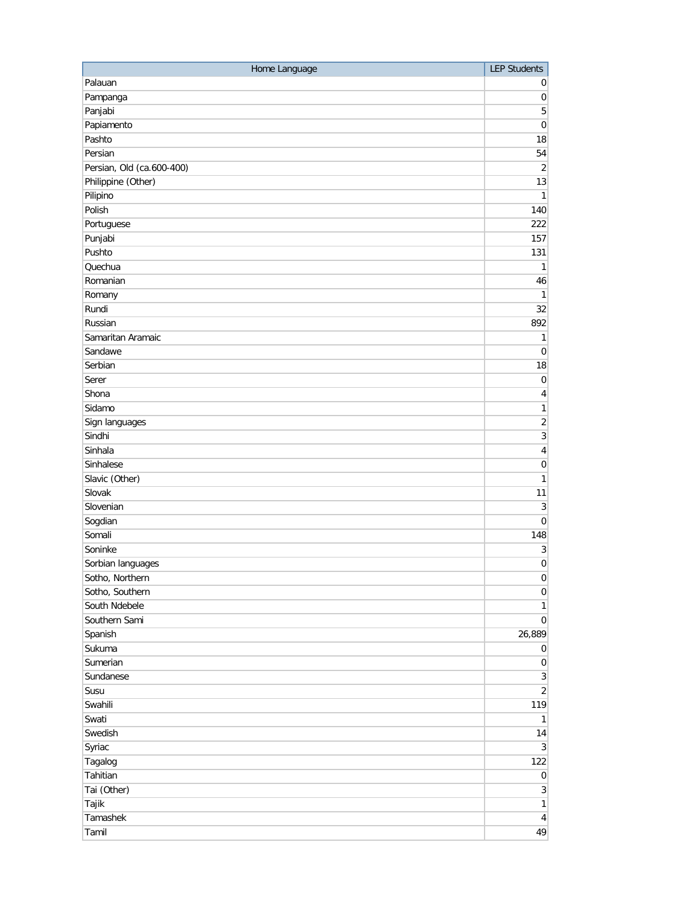| Home Language                    | <b>LEP Students</b>          |
|----------------------------------|------------------------------|
| Palauan                          | 0                            |
| Pampanga                         | $\pmb{0}$                    |
| Panjabi                          | 5                            |
| Papiamento                       | $\boldsymbol{0}$             |
| Pashto                           | 18                           |
| Persian                          | 54                           |
| Persian, Old (ca.600-400)        | $\overline{2}$               |
| Philippine (Other)               | 13                           |
| Pilipino                         | $\mathbf{1}$                 |
| Polish                           | 140                          |
| Portuguese                       | 222                          |
| Punjabi                          | 157                          |
| Pushto                           | 131                          |
| Quechua                          | 1                            |
| Romanian                         | 46                           |
| Romany                           | 1                            |
| Rundi                            | 32                           |
| Russian                          | 892                          |
| Samaritan Aramaic                | $\mathbf{1}$                 |
| Sandawe                          | $\boldsymbol{0}$             |
| Serbian                          | 18                           |
| Serer                            | $\boldsymbol{0}$             |
| Shona                            | 4                            |
| Sidamo                           | 1                            |
| Sign languages                   | $\sqrt{2}$                   |
| Sindhi                           | 3                            |
| Sinhala                          | 4                            |
| Sinhalese                        | 0                            |
| Slavic (Other)                   | 1                            |
| Slovak                           | 11                           |
| Slovenian                        | 3                            |
| Sogdian                          | $\boldsymbol{0}$             |
| Somali                           | 148                          |
| Soninke                          | $\sqrt{3}$                   |
|                                  | $\mathbf 0$                  |
| Sorbian languages                |                              |
| Sotho, Northern                  | 0                            |
| Sotho, Southern<br>South Ndebele | $\vert 0 \vert$              |
|                                  | $\mathbf{1}$                 |
| Southern Sami                    | $\overline{0}$               |
| Spanish                          | 26,889                       |
| Sukuma                           | $\overline{0}$               |
| Sumerian                         | $\overline{0}$               |
| Sundanese                        | $\overline{3}$               |
| Susu                             | $\overline{2}$               |
| Swahili                          | 119                          |
| Swati                            | $\mathbf{1}$                 |
| Swedish                          | 14                           |
| Syriac                           | $\left  \frac{3}{2} \right $ |
| Tagalog                          | 122                          |
| Tahitian                         | $\overline{0}$               |
| Tai (Other)                      | $\left  \frac{3}{2} \right $ |
| Tajik                            | 1                            |
| Tamashek                         | $\overline{4}$               |
| Tamil                            | 49                           |